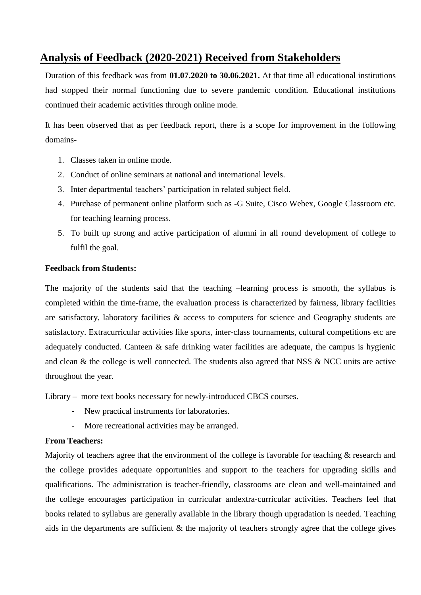# **Analysis of Feedback (2020-2021) Received from Stakeholders**

Duration of this feedback was from **01.07.2020 to 30.06.2021.** At that time all educational institutions had stopped their normal functioning due to severe pandemic condition. Educational institutions continued their academic activities through online mode.

It has been observed that as per feedback report, there is a scope for improvement in the following domains-

- 1. Classes taken in online mode.
- 2. Conduct of online seminars at national and international levels.
- 3. Inter departmental teachers' participation in related subject field.
- 4. Purchase of permanent online platform such as -G Suite, Cisco Webex, Google Classroom etc. for teaching learning process.
- 5. To built up strong and active participation of alumni in all round development of college to fulfil the goal.

### **Feedback from Students:**

The majority of the students said that the teaching –learning process is smooth, the syllabus is completed within the time-frame, the evaluation process is characterized by fairness, library facilities are satisfactory, laboratory facilities & access to computers for science and Geography students are satisfactory. Extracurricular activities like sports, inter-class tournaments, cultural competitions etc are adequately conducted. Canteen  $\&$  safe drinking water facilities are adequate, the campus is hygienic and clean & the college is well connected. The students also agreed that NSS & NCC units are active throughout the year.

Library – more text books necessary for newly-introduced CBCS courses.

- New practical instruments for laboratories.
- More recreational activities may be arranged.

#### **From Teachers:**

Majority of teachers agree that the environment of the college is favorable for teaching & research and the college provides adequate opportunities and support to the teachers for upgrading skills and qualifications. The administration is teacher-friendly, classrooms are clean and well-maintained and the college encourages participation in curricular andextra-curricular activities. Teachers feel that books related to syllabus are generally available in the library though upgradation is needed. Teaching aids in the departments are sufficient & the majority of teachers strongly agree that the college gives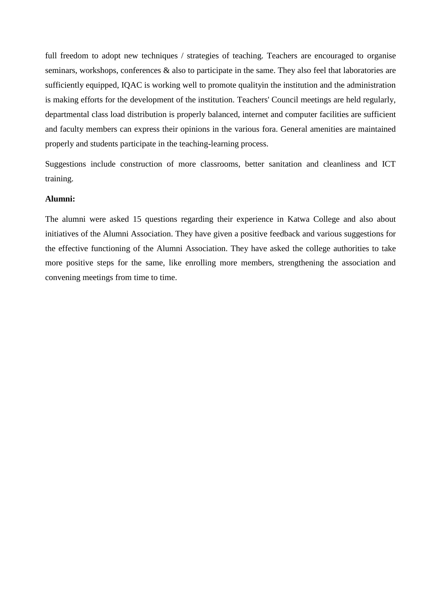full freedom to adopt new techniques / strategies of teaching. Teachers are encouraged to organise seminars, workshops, conferences & also to participate in the same. They also feel that laboratories are sufficiently equipped, IQAC is working well to promote qualityin the institution and the administration is making efforts for the development of the institution. Teachers' Council meetings are held regularly, departmental class load distribution is properly balanced, internet and computer facilities are sufficient and faculty members can express their opinions in the various fora. General amenities are maintained properly and students participate in the teaching-learning process.

Suggestions include construction of more classrooms, better sanitation and cleanliness and ICT training.

#### **Alumni:**

The alumni were asked 15 questions regarding their experience in Katwa College and also about initiatives of the Alumni Association. They have given a positive feedback and various suggestions for the effective functioning of the Alumni Association. They have asked the college authorities to take more positive steps for the same, like enrolling more members, strengthening the association and convening meetings from time to time.